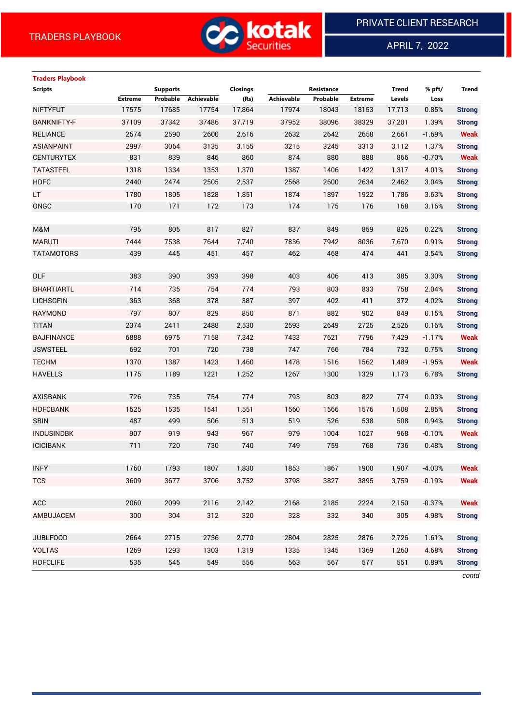

APRIL 7, 2022

 $\overline{a}$ 

| <b>Traders Playbook</b> |                |                 |            |                 |            |            |                |              |          |               |
|-------------------------|----------------|-----------------|------------|-----------------|------------|------------|----------------|--------------|----------|---------------|
| <b>Scripts</b>          |                | <b>Supports</b> |            | <b>Closings</b> |            | Resistance |                | <b>Trend</b> | % pft/   | <b>Trend</b>  |
|                         | <b>Extreme</b> | Probable        | Achievable | (Rs)            | Achievable | Probable   | <b>Extreme</b> | Levels       | Loss     |               |
| <b>NIFTYFUT</b>         | 17575          | 17685           | 17754      | 17,864          | 17974      | 18043      | 18153          | 17,713       | 0.85%    | <b>Strong</b> |
| <b>BANKNIFTY-F</b>      | 37109          | 37342           | 37486      | 37,719          | 37952      | 38096      | 38329          | 37,201       | 1.39%    | <b>Strong</b> |
| <b>RELIANCE</b>         | 2574           | 2590            | 2600       | 2,616           | 2632       | 2642       | 2658           | 2,661        | $-1.69%$ | <b>Weak</b>   |
| <b>ASIANPAINT</b>       | 2997           | 3064            | 3135       | 3,155           | 3215       | 3245       | 3313           | 3,112        | 1.37%    | <b>Strong</b> |
| <b>CENTURYTEX</b>       | 831            | 839             | 846        | 860             | 874        | 880        | 888            | 866          | $-0.70%$ | <b>Weak</b>   |
| <b>TATASTEEL</b>        | 1318           | 1334            | 1353       | 1,370           | 1387       | 1406       | 1422           | 1,317        | 4.01%    | <b>Strong</b> |
| <b>HDFC</b>             | 2440           | 2474            | 2505       | 2,537           | 2568       | 2600       | 2634           | 2,462        | 3.04%    | <b>Strong</b> |
| LT.                     | 1780           | 1805            | 1828       | 1,851           | 1874       | 1897       | 1922           | 1,786        | 3.63%    | <b>Strong</b> |
| ONGC                    | 170            | 171             | 172        | 173             | 174        | 175        | 176            | 168          | 3.16%    | <b>Strong</b> |
|                         |                |                 |            |                 |            |            |                |              |          |               |
| M&M                     | 795            | 805             | 817        | 827             | 837        | 849        | 859            | 825          | 0.22%    | <b>Strong</b> |
| <b>MARUTI</b>           | 7444           | 7538            | 7644       | 7,740           | 7836       | 7942       | 8036           | 7,670        | 0.91%    | <b>Strong</b> |
| <b>TATAMOTORS</b>       | 439            | 445             | 451        | 457             | 462        | 468        | 474            | 441          | 3.54%    | <b>Strong</b> |
|                         |                |                 |            |                 |            |            |                |              |          |               |
| <b>DLF</b>              | 383            | 390             | 393        | 398             | 403        | 406        | 413            | 385          | 3.30%    | <b>Strong</b> |
| <b>BHARTIARTL</b>       | 714            | 735             | 754        | 774             | 793        | 803        | 833            | 758          | 2.04%    | <b>Strong</b> |
| <b>LICHSGFIN</b>        | 363            | 368             | 378        | 387             | 397        | 402        | 411            | 372          | 4.02%    | <b>Strong</b> |
| <b>RAYMOND</b>          | 797            | 807             | 829        | 850             | 871        | 882        | 902            | 849          | 0.15%    | <b>Strong</b> |
| <b>TITAN</b>            | 2374           | 2411            | 2488       | 2,530           | 2593       | 2649       | 2725           | 2,526        | 0.16%    | <b>Strong</b> |
| <b>BAJFINANCE</b>       | 6888           | 6975            | 7158       | 7,342           | 7433       | 7621       | 7796           | 7,429        | $-1.17%$ | <b>Weak</b>   |
| <b>JSWSTEEL</b>         | 692            | 701             | 720        | 738             | 747        | 766        | 784            | 732          | 0.75%    | <b>Strong</b> |
| <b>TECHM</b>            | 1370           | 1387            | 1423       | 1,460           | 1478       | 1516       | 1562           | 1,489        | $-1.95%$ | <b>Weak</b>   |
| <b>HAVELLS</b>          | 1175           | 1189            | 1221       | 1,252           | 1267       | 1300       | 1329           | 1,173        | 6.78%    | <b>Strong</b> |
|                         |                |                 |            |                 |            |            |                |              |          |               |
| <b>AXISBANK</b>         | 726            | 735             | 754        | 774             | 793        | 803        | 822            | 774          | 0.03%    | <b>Strong</b> |
| <b>HDFCBANK</b>         | 1525           | 1535            | 1541       | 1,551           | 1560       | 1566       | 1576           | 1,508        | 2.85%    | <b>Strong</b> |
| <b>SBIN</b>             | 487            | 499             | 506        | 513             | 519        | 526        | 538            | 508          | 0.94%    | <b>Strong</b> |
| <b>INDUSINDBK</b>       | 907            | 919             | 943        | 967             | 979        | 1004       | 1027           | 968          | $-0.10%$ | <b>Weak</b>   |
| <b>ICICIBANK</b>        | 711            | 720             | 730        | 740             | 749        | 759        | 768            | 736          | 0.48%    | <b>Strong</b> |
|                         |                |                 |            |                 |            |            |                |              |          |               |
| <b>INFY</b>             | 1760           | 1793            | 1807       | 1,830           | 1853       | 1867       | 1900           | 1,907        | $-4.03%$ | <b>Weak</b>   |
| <b>TCS</b>              | 3609           | 3677            | 3706       | 3,752           | 3798       | 3827       | 3895           | 3,759        | $-0.19%$ | <b>Weak</b>   |
|                         |                |                 |            |                 |            |            |                |              |          |               |
| ACC                     | 2060           | 2099            | 2116       | 2,142           | 2168       | 2185       | 2224           | 2,150        | $-0.37%$ | <b>Weak</b>   |
| AMBUJACEM               | 300            | 304             | 312        | 320             | 328        | 332        | 340            | 305          | 4.98%    | <b>Strong</b> |
|                         |                |                 |            |                 |            |            |                |              |          |               |
| <b>JUBLFOOD</b>         | 2664           | 2715            | 2736       | 2,770           | 2804       | 2825       | 2876           | 2,726        | 1.61%    | <b>Strong</b> |
| <b>VOLTAS</b>           | 1269           | 1293            | 1303       | 1,319           | 1335       | 1345       | 1369           | 1,260        | 4.68%    | <b>Strong</b> |
| <b>HDFCLIFE</b>         | 535            | 545             | 549        | 556             | 563        | 567        | 577            | 551          | 0.89%    | <b>Strong</b> |

*contd*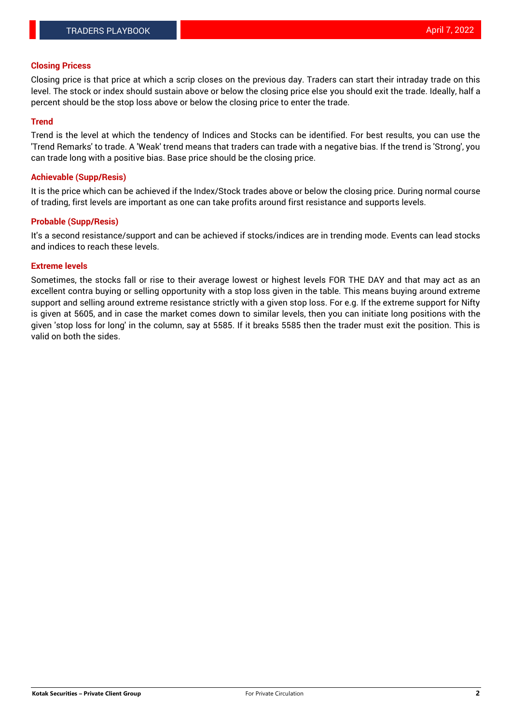### **Closing Pricess**

Closing price is that price at which a scrip closes on the previous day. Traders can start their intraday trade on this level. The stock or index should sustain above or below the closing price else you should exit the trade. Ideally, half a percent should be the stop loss above or below the closing price to enter the trade.

### **Trend**

Trend is the level at which the tendency of Indices and Stocks can be identified. For best results, you can use the 'Trend Remarks' to trade. A 'Weak' trend means that traders can trade with a negative bias. If the trend is 'Strong', you can trade long with a positive bias. Base price should be the closing price.

#### **Achievable (Supp/Resis)**

It is the price which can be achieved if the Index/Stock trades above or below the closing price. During normal course of trading, first levels are important as one can take profits around first resistance and supports levels.

### **Probable (Supp/Resis)**

It's a second resistance/support and can be achieved if stocks/indices are in trending mode. Events can lead stocks and indices to reach these levels.

### **Extreme levels**

Sometimes, the stocks fall or rise to their average lowest or highest levels FOR THE DAY and that may act as an excellent contra buying or selling opportunity with a stop loss given in the table. This means buying around extreme support and selling around extreme resistance strictly with a given stop loss. For e.g. If the extreme support for Nifty is given at 5605, and in case the market comes down to similar levels, then you can initiate long positions with the given 'stop loss for long' in the column, say at 5585. If it breaks 5585 then the trader must exit the position. This is valid on both the sides.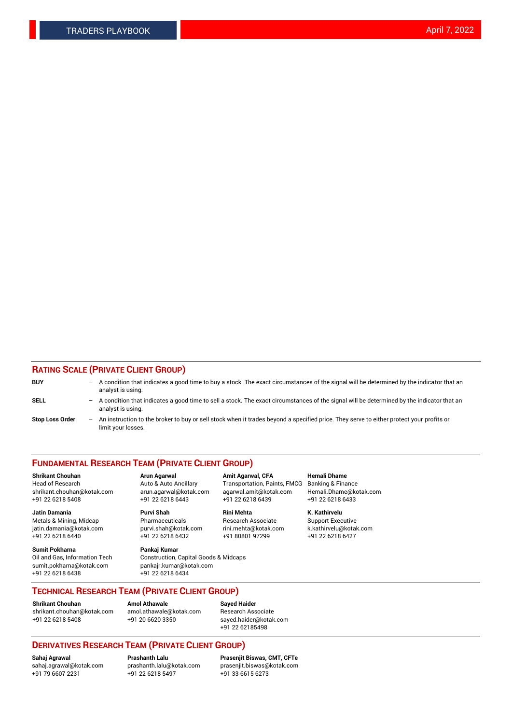### **RATING SCALE (PRIVATE CLIENT GROUP)**

| <b>BUY</b>             | -                        | A condition that indicates a good time to buy a stock. The exact circumstances of the signal will be determined by the indicator that an<br>analyst is using.  |
|------------------------|--------------------------|----------------------------------------------------------------------------------------------------------------------------------------------------------------|
| <b>SELL</b>            | $\overline{\phantom{0}}$ | A condition that indicates a good time to sell a stock. The exact circumstances of the signal will be determined by the indicator that an<br>analyst is using. |
| <b>Stop Loss Order</b> | $\overline{\phantom{0}}$ | An instruction to the broker to buy or sell stock when it trades beyond a specified price. They serve to either protect your profits or<br>limit your losses.  |

#### **FUNDAMENTAL RESEARCH TEAM (PRIVATE CLIENT GROUP)**

Head of Research Auto & Auto Ancillary Transportation, Paints, FMCG Banking & Finance

**Jatin Damania Purvi Shah Rini Mehta K. Kathirvelu** Metals & Mining, Midcap **Pharmaceuticals** Research Associate Support Executive jatin.damania@kotak.com [purvi.shah@kotak.com](mailto:purvi.shah@kotak.com) rini.mehta@kotak.com [k.kathirvelu@kotak.com](mailto:k.kathirvelu@kotak.com)

**Sumit Pokharna Pankaj Kumar** +91 22 6218 6438 +91 22 6218 6434

**Shrikant Chouhan Arun Agarwal Amit Agarwal, CFA Hemali Dhame** +91 22 6218 5408 +91 22 6218 6443 +91 22 6218 6439 +91 22 6218 6433

 $+91$  22 6218 6432

Oil and Gas, Information Tech Construction, Capital Goods & Midcaps<br>sumit.pokharna@kotak.com pankair.kumar@kotak.com pankajr.kumar@kotak.com

shrikant.chouhan@kotak.com arun.agarwal@kotak.com agarwal.amit@kotak.com Hemali.Dhame@kotak.com

**TECHNICAL RESEARCH TEAM (PRIVATE CLIENT GROUP)**

[shrikant.chouhan@kotak.com](mailto:shrikant.chouhan@kotak.com) [amol.athawale@kotak.com](mailto:amol.athawale@kotak.com) Research Associate +91 22 6218 5408 +91 20 6620 3350 [sayed.haider@kotak.com](mailto:sayed.haider@kotak.com)

**Shrikant Chouhan Amol Athawale Sayed Haider**

+91 22 62185498

# **DERIVATIVES RESEARCH TEAM (PRIVATE CLIENT GROUP)**

.<br>+91 22 6218 5497

**Sahaj Agrawal Prashanth Lalu Prasenjit Biswas, CMT, CFTe** [sahaj.agrawal@kotak.com](mailto:sahaj.agrawal@kotak.com) [prashanth.lalu@kotak.com](mailto:prashanth.lalu@kotak.com) [prasenjit.biswas@kotak.com](mailto:prasenjit.biswas@kotak.com)